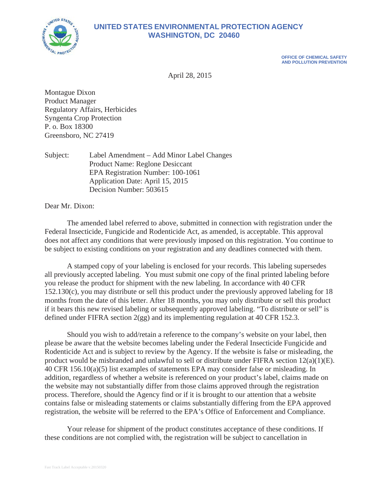

# **UNITED STATES ENVIRONMENTAL PROTECTION AGENCY WASHINGTON, DC 20460**

**OFFICE OF CHEMICAL SAFETY AND POLLUTION PREVENTION** 

April 28, 2015

Montague Dixon Product Manager Regulatory Affairs, Herbicides Syngenta Crop Protection P. o. Box 18300 Greensboro, NC 27419

Subject: Label Amendment – Add Minor Label Changes Product Name: Reglone Desiccant EPA Registration Number: 100-1061 Application Date: April 15, 2015 Decision Number: 503615

Dear Mr. Dixon:

The amended label referred to above, submitted in connection with registration under the Federal Insecticide, Fungicide and Rodenticide Act, as amended, is acceptable. This approval does not affect any conditions that were previously imposed on this registration. You continue to be subject to existing conditions on your registration and any deadlines connected with them.

A stamped copy of your labeling is enclosed for your records. This labeling supersedes all previously accepted labeling. You must submit one copy of the final printed labeling before you release the product for shipment with the new labeling. In accordance with 40 CFR 152.130(c), you may distribute or sell this product under the previously approved labeling for 18 months from the date of this letter. After 18 months, you may only distribute or sell this product if it bears this new revised labeling or subsequently approved labeling. "To distribute or sell" is defined under FIFRA section 2(gg) and its implementing regulation at 40 CFR 152.3.

Should you wish to add/retain a reference to the company's website on your label, then please be aware that the website becomes labeling under the Federal Insecticide Fungicide and Rodenticide Act and is subject to review by the Agency. If the website is false or misleading, the product would be misbranded and unlawful to sell or distribute under FIFRA section 12(a)(1)(E). 40 CFR 156.10(a)(5) list examples of statements EPA may consider false or misleading. In addition, regardless of whether a website is referenced on your product's label, claims made on the website may not substantially differ from those claims approved through the registration process. Therefore, should the Agency find or if it is brought to our attention that a website contains false or misleading statements or claims substantially differing from the EPA approved registration, the website will be referred to the EPA's Office of Enforcement and Compliance.

Your release for shipment of the product constitutes acceptance of these conditions. If these conditions are not complied with, the registration will be subject to cancellation in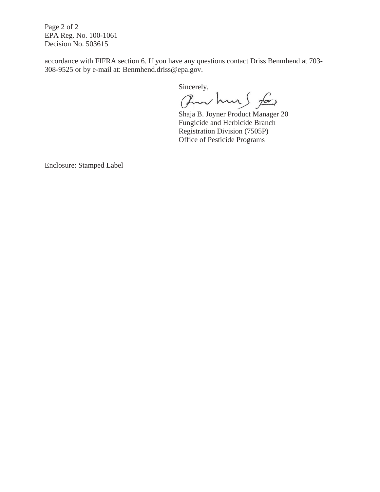Page 2 of 2 EPA Reg. No. 100-1061 Decision No. 503615

accordance with FIFRA section 6. If you have any questions contact Driss Benmhend at 703- 308-9525 or by e-mail at: Benmhend.driss@epa.gov.

Sincerely,<br>Com hun (for)

 Shaja B. Joyner Product Manager 20 Fungicide and Herbicide Branch Registration Division (7505P) Office of Pesticide Programs

Enclosure: Stamped Label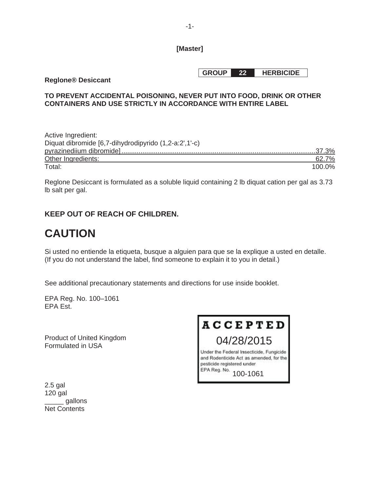# **[Master]**

**GROUP 22 HERBICIDE** 

**Reglone® Desiccant**

# **TO PREVENT ACCIDENTAL POISONING, NEVER PUT INTO FOOD, DRINK OR OTHER CONTAINERS AND USE STRICTLY IN ACCORDANCE WITH ENTIRE LABEL**

Active Ingredient: Diquat dibromide [6,7-dihydrodipyrido (1,2-a:2',1'-c) pyrazinediium dibromide] ...................................................................................................... 37.3% Other Ingredients: 62.7% Total: 100.0%

Reglone Desiccant is formulated as a soluble liquid containing 2 lb diquat cation per gal as 3.73 lb salt per gal.

# **KEEP OUT OF REACH OF CHILDREN.**

# **CAUTION**

Si usted no entiende la etiqueta, busque a alguien para que se la explique a usted en detalle. (If you do not understand the label, find someone to explain it to you in detail.)

See additional precautionary statements and directions for use inside booklet.

EPA Reg. No. 100–1061 EPA Est.

Product of United Kingdom Formulated in USA



2.5 gal 120 gal \_\_\_\_\_ gallons Net Contents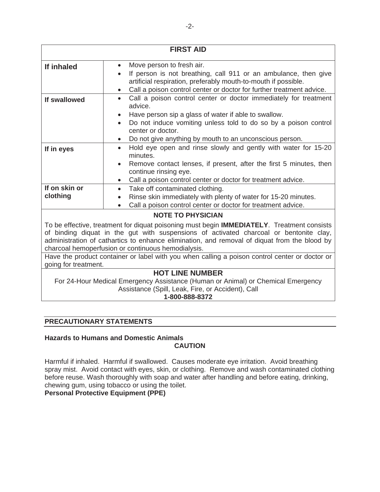| <b>FIRST AID</b>                                                                                                                                                                                                                                                                                                                                                                                                                                                             |                                                                                                                                                                                                                                                                                        |  |  |  |
|------------------------------------------------------------------------------------------------------------------------------------------------------------------------------------------------------------------------------------------------------------------------------------------------------------------------------------------------------------------------------------------------------------------------------------------------------------------------------|----------------------------------------------------------------------------------------------------------------------------------------------------------------------------------------------------------------------------------------------------------------------------------------|--|--|--|
| If inhaled                                                                                                                                                                                                                                                                                                                                                                                                                                                                   | Move person to fresh air.<br>$\bullet$<br>If person is not breathing, call 911 or an ambulance, then give<br>artificial respiration, preferably mouth-to-mouth if possible.<br>Call a poison control center or doctor for further treatment advice.<br>$\bullet$                       |  |  |  |
| If swallowed                                                                                                                                                                                                                                                                                                                                                                                                                                                                 | Call a poison control center or doctor immediately for treatment<br>advice.<br>Have person sip a glass of water if able to swallow.<br>Do not induce vomiting unless told to do so by a poison control<br>center or doctor.<br>Do not give anything by mouth to an unconscious person. |  |  |  |
| If in eyes                                                                                                                                                                                                                                                                                                                                                                                                                                                                   | Hold eye open and rinse slowly and gently with water for 15-20<br>minutes.<br>Remove contact lenses, if present, after the first 5 minutes, then<br>continue rinsing eye.<br>Call a poison control center or doctor for treatment advice.                                              |  |  |  |
| If on skin or<br>clothing                                                                                                                                                                                                                                                                                                                                                                                                                                                    | Take off contaminated clothing.<br>$\bullet$<br>Rinse skin immediately with plenty of water for 15-20 minutes.<br>Call a poison control center or doctor for treatment advice.                                                                                                         |  |  |  |
| <b>NOTE TO PHYSICIAN</b>                                                                                                                                                                                                                                                                                                                                                                                                                                                     |                                                                                                                                                                                                                                                                                        |  |  |  |
| To be effective, treatment for diquat poisoning must begin <b>IMMEDIATELY</b> . Treatment consists<br>of binding diquat in the gut with suspensions of activated charcoal or bentonite clay,<br>administration of cathartics to enhance elimination, and removal of diquat from the blood by<br>charcoal hemoperfusion or continuous hemodialysis.<br>Have the product container or label with you when calling a poison control center or doctor or<br>going for treatment. |                                                                                                                                                                                                                                                                                        |  |  |  |
| <b>HOT LINE NUMBER</b>                                                                                                                                                                                                                                                                                                                                                                                                                                                       |                                                                                                                                                                                                                                                                                        |  |  |  |
| For 24-Hour Medical Emergency Assistance (Human or Animal) or Chemical Emergency<br>Assistance (Spill, Leak, Fire, or Accident), Call<br>1-800-888-8372                                                                                                                                                                                                                                                                                                                      |                                                                                                                                                                                                                                                                                        |  |  |  |

# **PRECAUTIONARY STATEMENTS**

#### **Hazards to Humans and Domestic Animals CAUTION**

Harmful if inhaled. Harmful if swallowed. Causes moderate eye irritation. Avoid breathing spray mist. Avoid contact with eyes, skin, or clothing. Remove and wash contaminated clothing before reuse. Wash thoroughly with soap and water after handling and before eating, drinking, chewing gum, using tobacco or using the toilet.

**Personal Protective Equipment (PPE)**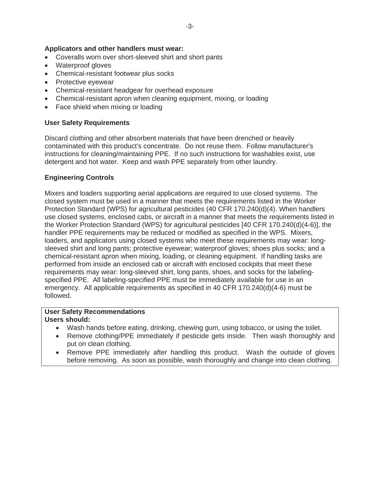# **Applicators and other handlers must wear:**

- Coveralls worn over short-sleeved shirt and short pants
- Waterproof gloves
- Chemical-resistant footwear plus socks
- Protective eyewear
- Chemical-resistant headgear for overhead exposure
- Chemical-resistant apron when cleaning equipment, mixing, or loading
- Face shield when mixing or loading

#### **User Safety Requirements**

Discard clothing and other absorbent materials that have been drenched or heavily contaminated with this product's concentrate. Do not reuse them. Follow manufacturer's instructions for cleaning/maintaining PPE. If no such instructions for washables exist, use detergent and hot water. Keep and wash PPE separately from other laundry.

# **Engineering Controls**

Mixers and loaders supporting aerial applications are required to use closed systems. The closed system must be used in a manner that meets the requirements listed in the Worker Protection Standard (WPS) for agricultural pesticides (40 CFR 170.240(d)(4). When handlers use closed systems, enclosed cabs, or aircraft in a manner that meets the requirements listed in the Worker Protection Standard (WPS) for agricultural pesticides [40 CFR 170.240(d)(4-6)], the handler PPE requirements may be reduced or modified as specified in the WPS. Mixers, loaders, and applicators using closed systems who meet these requirements may wear: longsleeved shirt and long pants; protective eyewear; waterproof gloves; shoes plus socks; and a chemical-resistant apron when mixing, loading, or cleaning equipment. If handling tasks are performed from inside an enclosed cab or aircraft with enclosed cockpits that meet these requirements may wear: long-sleeved shirt, long pants, shoes, and socks for the labelingspecified PPE. All labeling-specified PPE must be immediately available for use in an emergency. All applicable requirements as specified in 40 CFR 170.240(d)(4-6) must be followed.

#### **User Safety Recommendations Users should:**

- Wash hands before eating, drinking, chewing gum, using tobacco, or using the toilet.
- Remove clothing/PPE immediately if pesticide gets inside. Then wash thoroughly and put on clean clothing.
- Remove PPE immediately after handling this product. Wash the outside of gloves before removing. As soon as possible, wash thoroughly and change into clean clothing.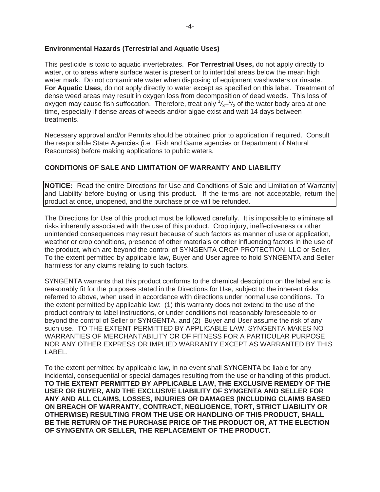#### **Environmental Hazards (Terrestrial and Aquatic Uses)**

This pesticide is toxic to aquatic invertebrates. **For Terrestrial Uses,** do not apply directly to water, or to areas where surface water is present or to intertidal areas below the mean high water mark. Do not contaminate water when disposing of equipment washwaters or rinsate. **For Aquatic Uses**, do not apply directly to water except as specified on this label. Treatment of dense weed areas may result in oxygen loss from decomposition of dead weeds. This loss of oxygen may cause fish suffocation. Therefore, treat only  $\frac{1}{3}$ - $\frac{1}{2}$  of the water body area at one time, especially if dense areas of weeds and/or algae exist and wait 14 days between treatments.

Necessary approval and/or Permits should be obtained prior to application if required. Consult the responsible State Agencies (i.e., Fish and Game agencies or Department of Natural Resources) before making applications to public waters.

# **CONDITIONS OF SALE AND LIMITATION OF WARRANTY AND LIABILITY**

**NOTICE:** Read the entire Directions for Use and Conditions of Sale and Limitation of Warranty and Liability before buying or using this product. If the terms are not acceptable, return the product at once, unopened, and the purchase price will be refunded.

The Directions for Use of this product must be followed carefully. It is impossible to eliminate all risks inherently associated with the use of this product. Crop injury, ineffectiveness or other unintended consequences may result because of such factors as manner of use or application, weather or crop conditions, presence of other materials or other influencing factors in the use of the product, which are beyond the control of SYNGENTA CROP PROTECTION, LLC or Seller. To the extent permitted by applicable law, Buyer and User agree to hold SYNGENTA and Seller harmless for any claims relating to such factors.

SYNGENTA warrants that this product conforms to the chemical description on the label and is reasonably fit for the purposes stated in the Directions for Use, subject to the inherent risks referred to above, when used in accordance with directions under normal use conditions. To the extent permitted by applicable law: (1) this warranty does not extend to the use of the product contrary to label instructions, or under conditions not reasonably foreseeable to or beyond the control of Seller or SYNGENTA, and (2) Buyer and User assume the risk of any such use. TO THE EXTENT PERMITTED BY APPLICABLE LAW, SYNGENTA MAKES NO WARRANTIES OF MERCHANTABILITY OR OF FITNESS FOR A PARTICULAR PURPOSE NOR ANY OTHER EXPRESS OR IMPLIED WARRANTY EXCEPT AS WARRANTED BY THIS LABEL.

To the extent permitted by applicable law, in no event shall SYNGENTA be liable for any incidental, consequential or special damages resulting from the use or handling of this product. **TO THE EXTENT PERMITTED BY APPLICABLE LAW, THE EXCLUSIVE REMEDY OF THE USER OR BUYER, AND THE EXCLUSIVE LIABILITY OF SYNGENTA AND SELLER FOR ANY AND ALL CLAIMS, LOSSES, INJURIES OR DAMAGES (INCLUDING CLAIMS BASED ON BREACH OF WARRANTY, CONTRACT, NEGLIGENCE, TORT, STRICT LIABILITY OR OTHERWISE) RESULTING FROM THE USE OR HANDLING OF THIS PRODUCT, SHALL BE THE RETURN OF THE PURCHASE PRICE OF THE PRODUCT OR, AT THE ELECTION OF SYNGENTA OR SELLER, THE REPLACEMENT OF THE PRODUCT.**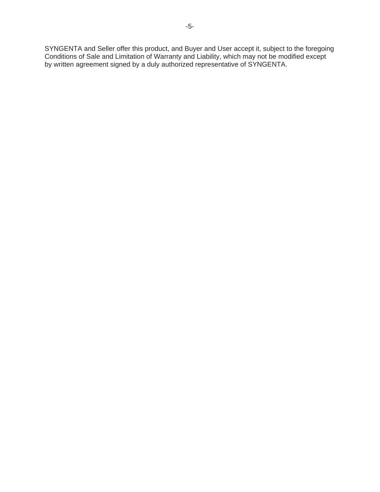SYNGENTA and Seller offer this product, and Buyer and User accept it, subject to the foregoing Conditions of Sale and Limitation of Warranty and Liability, which may not be modified except by written agreement signed by a duly authorized representative of SYNGENTA.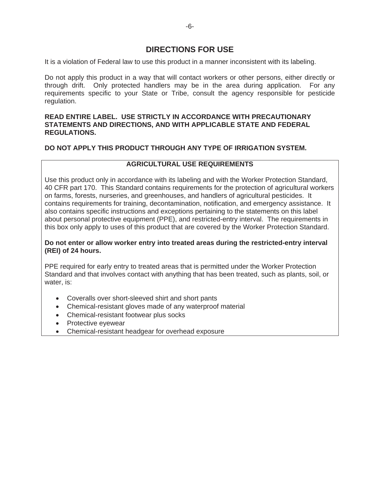# **DIRECTIONS FOR USE**

It is a violation of Federal law to use this product in a manner inconsistent with its labeling.

Do not apply this product in a way that will contact workers or other persons, either directly or through drift. Only protected handlers may be in the area during application. For any requirements specific to your State or Tribe, consult the agency responsible for pesticide regulation.

#### **READ ENTIRE LABEL. USE STRICTLY IN ACCORDANCE WITH PRECAUTIONARY STATEMENTS AND DIRECTIONS, AND WITH APPLICABLE STATE AND FEDERAL REGULATIONS.**

# **DO NOT APPLY THIS PRODUCT THROUGH ANY TYPE OF IRRIGATION SYSTEM.**

# **AGRICULTURAL USE REQUIREMENTS**

Use this product only in accordance with its labeling and with the Worker Protection Standard, 40 CFR part 170. This Standard contains requirements for the protection of agricultural workers on farms, forests, nurseries, and greenhouses, and handlers of agricultural pesticides. It contains requirements for training, decontamination, notification, and emergency assistance. It also contains specific instructions and exceptions pertaining to the statements on this label about personal protective equipment (PPE), and restricted-entry interval. The requirements in this box only apply to uses of this product that are covered by the Worker Protection Standard.

# **Do not enter or allow worker entry into treated areas during the restricted-entry interval (REI) of 24 hours.**

PPE required for early entry to treated areas that is permitted under the Worker Protection Standard and that involves contact with anything that has been treated, such as plants, soil, or water, is:

- Coveralls over short-sleeved shirt and short pants
- Chemical-resistant gloves made of any waterproof material
- Chemical-resistant footwear plus socks
- Protective eyewear
- Chemical-resistant headgear for overhead exposure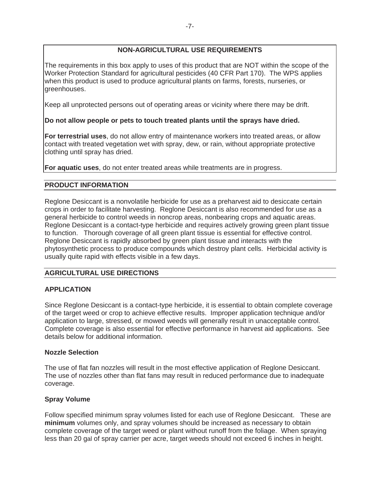# **NON-AGRICULTURAL USE REQUIREMENTS**

The requirements in this box apply to uses of this product that are NOT within the scope of the Worker Protection Standard for agricultural pesticides (40 CFR Part 170). The WPS applies when this product is used to produce agricultural plants on farms, forests, nurseries, or greenhouses.

Keep all unprotected persons out of operating areas or vicinity where there may be drift.

# **Do not allow people or pets to touch treated plants until the sprays have dried.**

**For terrestrial uses**, do not allow entry of maintenance workers into treated areas, or allow contact with treated vegetation wet with spray, dew, or rain, without appropriate protective clothing until spray has dried.

**For aquatic uses**, do not enter treated areas while treatments are in progress.

# **PRODUCT INFORMATION**

Reglone Desiccant is a nonvolatile herbicide for use as a preharvest aid to desiccate certain crops in order to facilitate harvesting. Reglone Desiccant is also recommended for use as a general herbicide to control weeds in noncrop areas, nonbearing crops and aquatic areas. Reglone Desiccant is a contact-type herbicide and requires actively growing green plant tissue to function. Thorough coverage of all green plant tissue is essential for effective control. Reglone Desiccant is rapidly absorbed by green plant tissue and interacts with the phytosynthetic process to produce compounds which destroy plant cells. Herbicidal activity is usually quite rapid with effects visible in a few days.

# **AGRICULTURAL USE DIRECTIONS**

#### **APPLICATION**

Since Reglone Desiccant is a contact-type herbicide, it is essential to obtain complete coverage of the target weed or crop to achieve effective results. Improper application technique and/or application to large, stressed, or mowed weeds will generally result in unacceptable control. Complete coverage is also essential for effective performance in harvest aid applications. See details below for additional information.

#### **Nozzle Selection**

The use of flat fan nozzles will result in the most effective application of Reglone Desiccant. The use of nozzles other than flat fans may result in reduced performance due to inadequate coverage.

#### **Spray Volume**

Follow specified minimum spray volumes listed for each use of Reglone Desiccant. These are **minimum** volumes only, and spray volumes should be increased as necessary to obtain complete coverage of the target weed or plant without runoff from the foliage. When spraying less than 20 gal of spray carrier per acre, target weeds should not exceed 6 inches in height.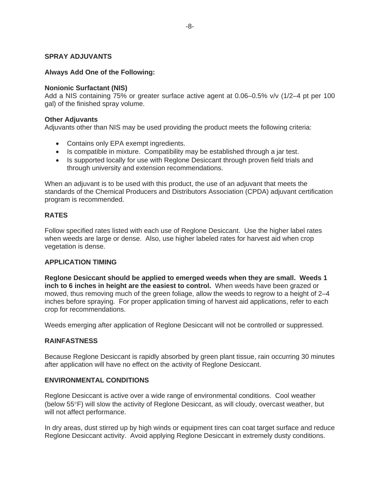#### **SPRAY ADJUVANTS**

#### **Always Add One of the Following:**

#### **Nonionic Surfactant (NIS)**

Add a NIS containing 75% or greater surface active agent at 0.06–0.5% v/v (1/2–4 pt per 100 gal) of the finished spray volume.

#### **Other Adjuvants**

Adjuvants other than NIS may be used providing the product meets the following criteria:

- Contains only EPA exempt ingredients.
- $\bullet$  Is compatible in mixture. Compatibility may be established through a jar test.
- Is supported locally for use with Reglone Desiccant through proven field trials and through university and extension recommendations.

When an adjuvant is to be used with this product, the use of an adjuvant that meets the standards of the Chemical Producers and Distributors Association (CPDA) adjuvant certification program is recommended.

# **RATES**

Follow specified rates listed with each use of Reglone Desiccant. Use the higher label rates when weeds are large or dense. Also, use higher labeled rates for harvest aid when crop vegetation is dense.

#### **APPLICATION TIMING**

**Reglone Desiccant should be applied to emerged weeds when they are small. Weeds 1 inch to 6 inches in height are the easiest to control.** When weeds have been grazed or mowed, thus removing much of the green foliage, allow the weeds to regrow to a height of 2–4 inches before spraying. For proper application timing of harvest aid applications, refer to each crop for recommendations.

Weeds emerging after application of Reglone Desiccant will not be controlled or suppressed.

#### **RAINFASTNESS**

Because Reglone Desiccant is rapidly absorbed by green plant tissue, rain occurring 30 minutes after application will have no effect on the activity of Reglone Desiccant.

# **ENVIRONMENTAL CONDITIONS**

Reglone Desiccant is active over a wide range of environmental conditions. Cool weather (below  $55^{\circ}$ F) will slow the activity of Reglone Desiccant, as will cloudy, overcast weather, but will not affect performance.

In dry areas, dust stirred up by high winds or equipment tires can coat target surface and reduce Reglone Desiccant activity. Avoid applying Reglone Desiccant in extremely dusty conditions.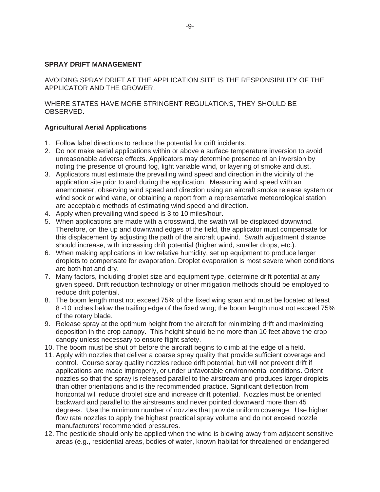# **SPRAY DRIFT MANAGEMENT**

AVOIDING SPRAY DRIFT AT THE APPLICATION SITE IS THE RESPONSIBILITY OF THE APPLICATOR AND THE GROWER.

WHERE STATES HAVE MORE STRINGENT REGULATIONS, THEY SHOULD BE OBSERVED.

# **Agricultural Aerial Applications**

- 1. Follow label directions to reduce the potential for drift incidents.
- 2. Do not make aerial applications within or above a surface temperature inversion to avoid unreasonable adverse effects. Applicators may determine presence of an inversion by noting the presence of ground fog, light variable wind, or layering of smoke and dust.
- 3. Applicators must estimate the prevailing wind speed and direction in the vicinity of the application site prior to and during the application. Measuring wind speed with an anemometer, observing wind speed and direction using an aircraft smoke release system or wind sock or wind vane, or obtaining a report from a representative meteorological station are acceptable methods of estimating wind speed and direction.
- 4. Apply when prevailing wind speed is 3 to 10 miles/hour.
- 5. When applications are made with a crosswind, the swath will be displaced downwind. Therefore, on the up and downwind edges of the field, the applicator must compensate for this displacement by adjusting the path of the aircraft upwind. Swath adjustment distance should increase, with increasing drift potential (higher wind, smaller drops, etc.).
- 6. When making applications in low relative humidity, set up equipment to produce larger droplets to compensate for evaporation. Droplet evaporation is most severe when conditions are both hot and dry.
- 7. Many factors, including droplet size and equipment type, determine drift potential at any given speed. Drift reduction technology or other mitigation methods should be employed to reduce drift potential.
- 8. The boom length must not exceed 75% of the fixed wing span and must be located at least 8 -10 inches below the trailing edge of the fixed wing; the boom length must not exceed 75% of the rotary blade.
- 9. Release spray at the optimum height from the aircraft for minimizing drift and maximizing deposition in the crop canopy. This height should be no more than 10 feet above the crop canopy unless necessary to ensure flight safety.
- 10. The boom must be shut off before the aircraft begins to climb at the edge of a field.
- 11. Apply with nozzles that deliver a coarse spray quality that provide sufficient coverage and control. Course spray quality nozzles reduce drift potential, but will not prevent drift if applications are made improperly, or under unfavorable environmental conditions. Orient nozzles so that the spray is released parallel to the airstream and produces larger droplets than other orientations and is the recommended practice. Significant deflection from horizontal will reduce droplet size and increase drift potential. Nozzles must be oriented backward and parallel to the airstreams and never pointed downward more than 45 degrees. Use the minimum number of nozzles that provide uniform coverage. Use higher flow rate nozzles to apply the highest practical spray volume and do not exceed nozzle manufacturers' recommended pressures.
- 12. The pesticide should only be applied when the wind is blowing away from adjacent sensitive areas (e.g., residential areas, bodies of water, known habitat for threatened or endangered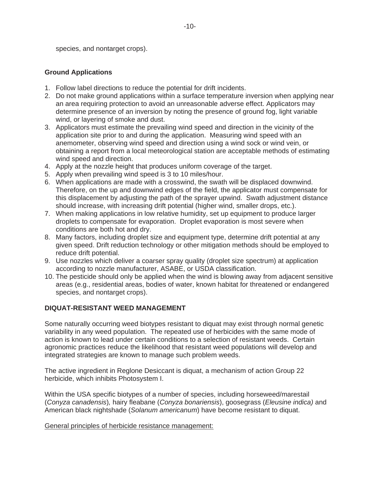species, and nontarget crops).

# **Ground Applications**

- 1. Follow label directions to reduce the potential for drift incidents.
- 2. Do not make ground applications within a surface temperature inversion when applying near an area requiring protection to avoid an unreasonable adverse effect. Applicators may determine presence of an inversion by noting the presence of ground fog, light variable wind, or layering of smoke and dust.
- 3. Applicators must estimate the prevailing wind speed and direction in the vicinity of the application site prior to and during the application. Measuring wind speed with an anemometer, observing wind speed and direction using a wind sock or wind vein, or obtaining a report from a local meteorological station are acceptable methods of estimating wind speed and direction.
- 4. Apply at the nozzle height that produces uniform coverage of the target.
- 5. Apply when prevailing wind speed is 3 to 10 miles/hour.
- 6. When applications are made with a crosswind, the swath will be displaced downwind. Therefore, on the up and downwind edges of the field, the applicator must compensate for this displacement by adjusting the path of the sprayer upwind. Swath adjustment distance should increase, with increasing drift potential (higher wind, smaller drops, etc.).
- 7. When making applications in low relative humidity, set up equipment to produce larger droplets to compensate for evaporation. Droplet evaporation is most severe when conditions are both hot and dry.
- 8. Many factors, including droplet size and equipment type, determine drift potential at any given speed. Drift reduction technology or other mitigation methods should be employed to reduce drift potential.
- 9. Use nozzles which deliver a coarser spray quality (droplet size spectrum) at application according to nozzle manufacturer, ASABE, or USDA classification.
- 10. The pesticide should only be applied when the wind is blowing away from adjacent sensitive areas (e.g., residential areas, bodies of water, known habitat for threatened or endangered species, and nontarget crops).

# **DIQUAT-RESISTANT WEED MANAGEMENT**

Some naturally occurring weed biotypes resistant to diquat may exist through normal genetic variability in any weed population. The repeated use of herbicides with the same mode of action is known to lead under certain conditions to a selection of resistant weeds. Certain agronomic practices reduce the likelihood that resistant weed populations will develop and integrated strategies are known to manage such problem weeds.

The active ingredient in Reglone Desiccant is diquat, a mechanism of action Group 22 herbicide, which inhibits Photosystem I.

Within the USA specific biotypes of a number of species, including horseweed/marestail (*Conyza canadensis*)*,* hairy fleabane (*Conyza bonariensis*), goosegrass (*Eleusine indica)* and American black nightshade (*Solanum americanum*) have become resistant to diquat.

#### General principles of herbicide resistance management: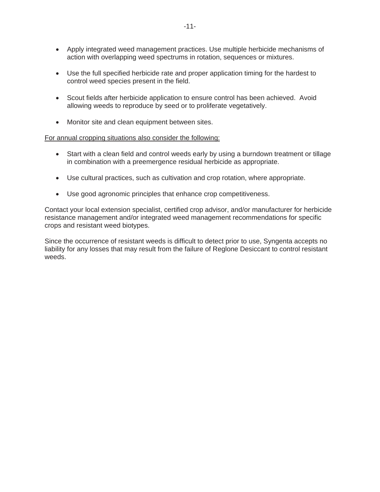- Apply integrated weed management practices. Use multiple herbicide mechanisms of action with overlapping weed spectrums in rotation, sequences or mixtures.
- Use the full specified herbicide rate and proper application timing for the hardest to control weed species present in the field.
- Scout fields after herbicide application to ensure control has been achieved. Avoid allowing weeds to reproduce by seed or to proliferate vegetatively.
- Monitor site and clean equipment between sites.

# For annual cropping situations also consider the following:

- Start with a clean field and control weeds early by using a burndown treatment or tillage in combination with a preemergence residual herbicide as appropriate.
- Use cultural practices, such as cultivation and crop rotation, where appropriate.
- Use good agronomic principles that enhance crop competitiveness.

Contact your local extension specialist, certified crop advisor, and/or manufacturer for herbicide resistance management and/or integrated weed management recommendations for specific crops and resistant weed biotypes.

Since the occurrence of resistant weeds is difficult to detect prior to use, Syngenta accepts no liability for any losses that may result from the failure of Reglone Desiccant to control resistant weeds.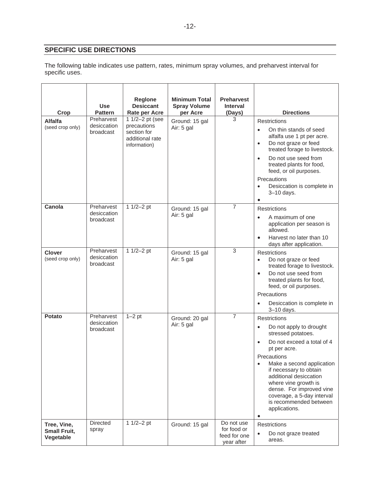# **SPECIFIC USE DIRECTIONS**

The following table indicates use pattern, rates, minimum spray volumes, and preharvest interval for specific uses.

|                                   |                              | <b>Reglone</b>                                                | <b>Minimum Total</b>            | <b>Preharvest</b>          |                                                                                                                                                                                                                                        |
|-----------------------------------|------------------------------|---------------------------------------------------------------|---------------------------------|----------------------------|----------------------------------------------------------------------------------------------------------------------------------------------------------------------------------------------------------------------------------------|
| Crop                              | <b>Use</b><br><b>Pattern</b> | <b>Desiccant</b><br>Rate per Acre                             | <b>Spray Volume</b><br>per Acre | Interval<br>(Days)         | <b>Directions</b>                                                                                                                                                                                                                      |
| Alfalfa                           | Preharvest                   | 1 1/2-2 pt (see                                               | Ground: 15 gal                  | 3                          | <b>Restrictions</b>                                                                                                                                                                                                                    |
| (seed crop only)                  | desiccation<br>broadcast     | precautions<br>section for<br>additional rate<br>information) | Air: 5 gal                      |                            | On thin stands of seed<br>$\bullet$<br>alfalfa use 1 pt per acre.<br>Do not graze or feed<br>$\bullet$<br>treated forage to livestock.                                                                                                 |
|                                   |                              |                                                               |                                 |                            | Do not use seed from<br>$\bullet$<br>treated plants for food,<br>feed, or oil purposes.                                                                                                                                                |
|                                   |                              |                                                               |                                 |                            | Precautions<br>Desiccation is complete in<br>$\bullet$<br>3-10 days.<br>$\bullet$                                                                                                                                                      |
| Canola                            | Preharvest                   | 1 $1/2 - 2$ pt                                                | Ground: 15 gal                  | 7                          | <b>Restrictions</b>                                                                                                                                                                                                                    |
|                                   | desiccation<br>broadcast     |                                                               | Air: 5 gal                      |                            | A maximum of one<br>application per season is<br>allowed.<br>Harvest no later than 10<br>$\bullet$                                                                                                                                     |
|                                   | Preharvest                   |                                                               |                                 | 3                          | days after application.                                                                                                                                                                                                                |
| <b>Clover</b><br>(seed crop only) | desiccation<br>broadcast     | 1 $1/2 - 2$ pt                                                | Ground: 15 gal<br>Air: 5 gal    |                            | <b>Restrictions</b><br>Do not graze or feed<br>$\bullet$<br>treated forage to livestock.<br>Do not use seed from<br>$\bullet$<br>treated plants for food,<br>feed, or oil purposes.                                                    |
|                                   |                              |                                                               |                                 |                            | Precautions                                                                                                                                                                                                                            |
|                                   |                              |                                                               |                                 |                            | Desiccation is complete in<br>3-10 days.                                                                                                                                                                                               |
| <b>Potato</b>                     | Preharvest<br>desiccation    | $1-2$ pt                                                      | Ground: 20 gal                  | $\overline{7}$             | <b>Restrictions</b>                                                                                                                                                                                                                    |
|                                   | broadcast                    |                                                               | Air: 5 gal                      |                            | Do not apply to drought<br>$\bullet$<br>stressed potatoes.                                                                                                                                                                             |
|                                   |                              |                                                               |                                 |                            | Do not exceed a total of 4<br>$\bullet$<br>pt per acre.                                                                                                                                                                                |
|                                   |                              |                                                               |                                 |                            | Precautions<br>Make a second application<br>if necessary to obtain<br>additional desiccation<br>where vine growth is<br>dense. For improved vine<br>coverage, a 5-day interval<br>is recommended between<br>applications.<br>$\bullet$ |
| Tree, Vine,                       | <b>Directed</b><br>spray     | 1 $1/2 - 2$ pt                                                | Ground: 15 gal                  | Do not use<br>for food or  | <b>Restrictions</b>                                                                                                                                                                                                                    |
| <b>Small Fruit,</b><br>Vegetable  |                              |                                                               |                                 | feed for one<br>year after | Do not graze treated<br>$\bullet$<br>areas.                                                                                                                                                                                            |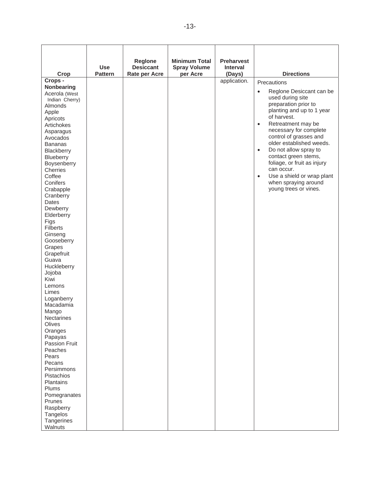|                                |                | <b>Reglone</b>   | <b>Minimum Total</b> | <b>Preharvest</b> |                                                                |
|--------------------------------|----------------|------------------|----------------------|-------------------|----------------------------------------------------------------|
|                                | <b>Use</b>     | <b>Desiccant</b> | <b>Spray Volume</b>  | <b>Interval</b>   |                                                                |
| Crop                           | <b>Pattern</b> | Rate per Acre    | per Acre             | (Days)            | <b>Directions</b>                                              |
| Crops -<br>Nonbearing          |                |                  |                      | application.      | Precautions                                                    |
| Acerola (West                  |                |                  |                      |                   | Reglone Desiccant can be<br>$\bullet$                          |
| Indian Cherry)                 |                |                  |                      |                   | used during site                                               |
| <b>Almonds</b>                 |                |                  |                      |                   | preparation prior to<br>planting and up to 1 year              |
| Apple<br>Apricots              |                |                  |                      |                   | of harvest.                                                    |
| Artichokes                     |                |                  |                      |                   | Retreatment may be<br>$\bullet$                                |
| Asparagus                      |                |                  |                      |                   | necessary for complete                                         |
| Avocados                       |                |                  |                      |                   | control of grasses and                                         |
| <b>Bananas</b>                 |                |                  |                      |                   | older established weeds.<br>Do not allow spray to<br>$\bullet$ |
| Blackberry<br>Blueberry        |                |                  |                      |                   | contact green stems,                                           |
| Boysenberry                    |                |                  |                      |                   | foliage, or fruit as injury                                    |
| Cherries                       |                |                  |                      |                   | can occur.                                                     |
| Coffee                         |                |                  |                      |                   | Use a shield or wrap plant<br>$\bullet$                        |
| Conifers                       |                |                  |                      |                   | when spraying around                                           |
| Crabapple<br>Cranberry         |                |                  |                      |                   | young trees or vines.                                          |
| Dates                          |                |                  |                      |                   |                                                                |
| Dewberry                       |                |                  |                      |                   |                                                                |
| Elderberry                     |                |                  |                      |                   |                                                                |
| Figs                           |                |                  |                      |                   |                                                                |
| Filberts<br>Ginseng            |                |                  |                      |                   |                                                                |
| Gooseberry                     |                |                  |                      |                   |                                                                |
| Grapes                         |                |                  |                      |                   |                                                                |
| Grapefruit                     |                |                  |                      |                   |                                                                |
| Guava                          |                |                  |                      |                   |                                                                |
| Huckleberry<br>Jojoba          |                |                  |                      |                   |                                                                |
| Kiwi                           |                |                  |                      |                   |                                                                |
| Lemons                         |                |                  |                      |                   |                                                                |
| Limes                          |                |                  |                      |                   |                                                                |
| Loganberry<br>Macadamia        |                |                  |                      |                   |                                                                |
| Mango                          |                |                  |                      |                   |                                                                |
| <b>Nectarines</b>              |                |                  |                      |                   |                                                                |
| Olives                         |                |                  |                      |                   |                                                                |
| Oranges                        |                |                  |                      |                   |                                                                |
| Papayas<br>Passion Fruit       |                |                  |                      |                   |                                                                |
| Peaches                        |                |                  |                      |                   |                                                                |
| Pears                          |                |                  |                      |                   |                                                                |
| Pecans                         |                |                  |                      |                   |                                                                |
| Persimmons                     |                |                  |                      |                   |                                                                |
| Pistachios<br><b>Plantains</b> |                |                  |                      |                   |                                                                |
| Plums                          |                |                  |                      |                   |                                                                |
| Pomegranates                   |                |                  |                      |                   |                                                                |
| Prunes                         |                |                  |                      |                   |                                                                |
| Raspberry                      |                |                  |                      |                   |                                                                |
| Tangelos                       |                |                  |                      |                   |                                                                |
| Tangerines<br>Walnuts          |                |                  |                      |                   |                                                                |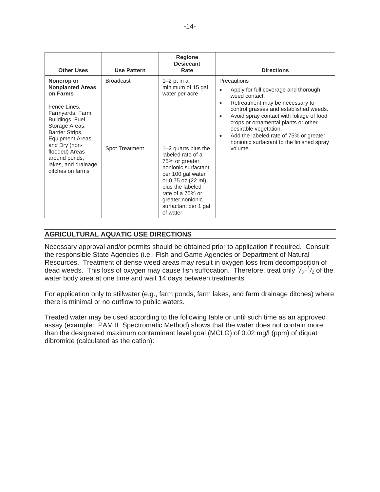| <b>Other Uses</b>                                                                                                                                                                                                                                               | <b>Use Pattern</b>                 | <b>Reglone</b><br><b>Desiccant</b><br>Rate                                                                                                                                                                                                                                             | <b>Directions</b>                                                                                                                                                                                                                                                                                                                                                                              |
|-----------------------------------------------------------------------------------------------------------------------------------------------------------------------------------------------------------------------------------------------------------------|------------------------------------|----------------------------------------------------------------------------------------------------------------------------------------------------------------------------------------------------------------------------------------------------------------------------------------|------------------------------------------------------------------------------------------------------------------------------------------------------------------------------------------------------------------------------------------------------------------------------------------------------------------------------------------------------------------------------------------------|
| Noncrop or<br><b>Nonplanted Areas</b><br>on Farms<br>Fence Lines,<br>Farmyards, Farm<br>Buildings, Fuel<br>Storage Areas,<br>Barrier Strips,<br>Equipment Areas,<br>and Dry (non-<br>flooded) Areas<br>around ponds,<br>lakes, and drainage<br>ditches on farms | <b>Broadcast</b><br>Spot Treatment | $1-2$ pt in a<br>minimum of 15 gal<br>water per acre<br>$1-2$ quarts plus the<br>labeled rate of a<br>75% or greater<br>nonionic surfactant<br>per 100 gal water<br>or 0.75 oz (22 ml)<br>plus the labeled<br>rate of a 75% or<br>greater nonionic<br>surfactant per 1 gal<br>of water | Precautions<br>Apply for full coverage and thorough<br>weed contact.<br>Retreatment may be necessary to<br>$\bullet$<br>control grasses and established weeds.<br>Avoid spray contact with foliage of food<br>$\bullet$<br>crops or ornamental plants or other<br>desirable vegetation.<br>Add the labeled rate of 75% or greater<br>٠<br>nonionic surfactant to the finished spray<br>volume. |

# **AGRICULTURAL AQUATIC USE DIRECTIONS**

Necessary approval and/or permits should be obtained prior to application if required. Consult the responsible State Agencies (i.e., Fish and Game Agencies or Department of Natural Resources. Treatment of dense weed areas may result in oxygen loss from decomposition of dead weeds. This loss of oxygen may cause fish suffocation. Therefore, treat only  $\frac{1}{3}$ - $\frac{1}{2}$  of the water body area at one time and wait 14 days between treatments.

For application only to stillwater (e.g., farm ponds, farm lakes, and farm drainage ditches) where there is minimal or no outflow to public waters.

Treated water may be used according to the following table or until such time as an approved assay (example: PAM II Spectromatic Method) shows that the water does not contain more than the designated maximum contaminant level goal (MCLG) of 0.02 mg/l (ppm) of diquat dibromide (calculated as the cation):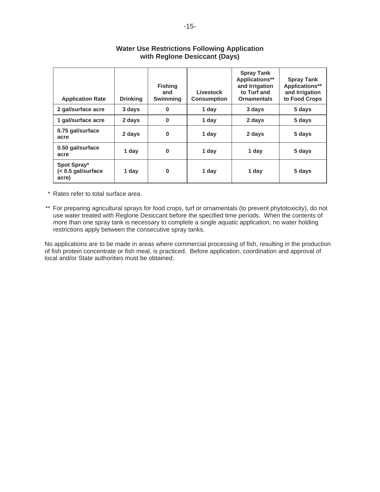| <b>Application Rate</b>                    | <b>Drinking</b> | <b>Fishing</b><br>and<br><b>Swimming</b> | Livestock<br><b>Consumption</b> | <b>Spray Tank</b><br>Applications**<br>and Irrigation<br>to Turf and<br><b>Ornamentals</b> | <b>Spray Tank</b><br>Applications**<br>and Irrigation<br>to Food Crops |
|--------------------------------------------|-----------------|------------------------------------------|---------------------------------|--------------------------------------------------------------------------------------------|------------------------------------------------------------------------|
| 2 gal/surface acre                         | 3 days          | 0                                        | 1 day                           | 3 days                                                                                     | 5 days                                                                 |
| 1 gal/surface acre                         | 2 days          | $\bf{0}$                                 | 1 day                           | 2 days                                                                                     | 5 days                                                                 |
| 0.75 gal/surface<br>acre                   | 2 days          | $\bf{0}$                                 | 1 day                           | 2 days                                                                                     | 5 days                                                                 |
| 0.50 gal/surface<br>acre                   | 1 day           | $\bf{0}$                                 | 1 day                           | 1 day                                                                                      | 5 days                                                                 |
| Spot Spray*<br>(< 0.5 gal/surface<br>acre) | 1 day           | $\bf{0}$                                 | 1 day                           | 1 day                                                                                      | 5 days                                                                 |

# **Water Use Restrictions Following Application with Reglone Desiccant (Days)**

\* Rates refer to total surface area.

\*\* For preparing agricultural sprays for food crops, turf or ornamentals (to prevent phytotoxicity), do not use water treated with Reglone Desiccant before the specified time periods. When the contents of more than one spray tank is necessary to complete a single aquatic application, no water holding restrictions apply between the consecutive spray tanks.

No applications are to be made in areas where commercial processing of fish, resulting in the production of fish protein concentrate or fish meal, is practiced. Before application, coordination and approval of local and/or State authorities must be obtained.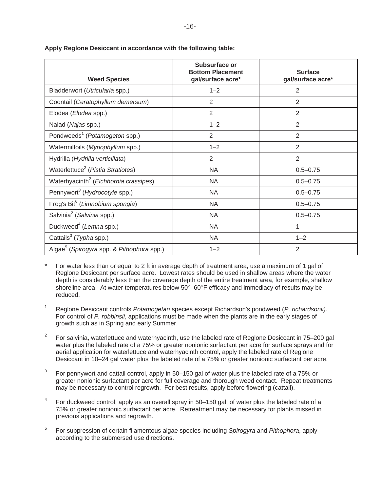| <b>Weed Species</b>                                   | Subsurface or<br><b>Bottom Placement</b><br>gal/surface acre* | <b>Surface</b><br>gal/surface acre* |
|-------------------------------------------------------|---------------------------------------------------------------|-------------------------------------|
| Bladderwort (Utricularia spp.)                        | $1 - 2$                                                       | $\overline{2}$                      |
| Coontail (Ceratophyllum demersum)                     | 2                                                             | $\overline{2}$                      |
| Elodea (Elodea spp.)                                  | 2                                                             | 2                                   |
| Naiad (Najas spp.)                                    | $1 - 2$                                                       | $\overline{2}$                      |
| Pondweeds <sup>1</sup> ( <i>Potamogeton</i> spp.)     | 2                                                             | $\overline{2}$                      |
| Watermilfoils (Myriophyllum spp.)                     | $1 - 2$                                                       | $\overline{2}$                      |
| Hydrilla (Hydrilla verticillata)                      | $\overline{2}$                                                | $\overline{2}$                      |
| Waterlettuce <sup>2</sup> (Pistia Stratiotes)         | <b>NA</b>                                                     | $0.5 - 0.75$                        |
| Waterhyacinth <sup>2</sup> (Eichhornia crassipes)     | <b>NA</b>                                                     | $0.5 - 0.75$                        |
| Pennywort <sup>3</sup> (Hydrocotyle spp.)             | NA                                                            | $0.5 - 0.75$                        |
| Frog's Bit <sup>6</sup> (Limnobium spongia)           | <b>NA</b>                                                     | $0.5 - 0.75$                        |
| Salvinia <sup>2</sup> (Salvinia spp.)                 | <b>NA</b>                                                     | $0.5 - 0.75$                        |
| Duckweed <sup>4</sup> (Lemna spp.)                    | <b>NA</b>                                                     | 1                                   |
| Cattails <sup>3</sup> (Typha spp.)                    | <b>NA</b>                                                     | $1 - 2$                             |
| Algae <sup>5</sup> (Spirogyra spp. & Pithophora spp.) | $1 - 2$                                                       | $\overline{2}$                      |

**Apply Reglone Desiccant in accordance with the following table:** 

For water less than or equal to 2 ft in average depth of treatment area, use a maximum of 1 gal of Reglone Desiccant per surface acre. Lowest rates should be used in shallow areas where the water depth is considerably less than the coverage depth of the entire treatment area, for example, shallow shoreline area. At water temperatures below  $50^{\circ}$ –60°F efficacy and immediacy of results may be reduced.

- <sup>1</sup> Reglone Desiccant controls *Potamogetan* species except Richardson's pondweed (*P. richardsonii).* For control of *P. robbinsii*, applications must be made when the plants are in the early stages of growth such as in Spring and early Summer.
- <sup>2</sup> For salvinia, waterlettuce and waterhyacinth, use the labeled rate of Reglone Desiccant in 75–200 gal water plus the labeled rate of a 75% or greater nonionic surfactant per acre for surface sprays and for aerial application for waterlettuce and waterhyacinth control, apply the labeled rate of Reglone Desiccant in 10–24 gal water plus the labeled rate of a 75% or greater nonionic surfactant per acre.
- $3$  For pennywort and cattail control, apply in 50–150 gal of water plus the labeled rate of a 75% or greater nonionic surfactant per acre for full coverage and thorough weed contact. Repeat treatments may be necessary to control regrowth. For best results, apply before flowering (cattail).
- $4$  For duckweed control, apply as an overall spray in 50–150 gal. of water plus the labeled rate of a 75% or greater nonionic surfactant per acre. Retreatment may be necessary for plants missed in previous applications and regrowth.
- <sup>5</sup> For suppression of certain filamentous algae species including *Spirogyra* and *Pithophora*, apply according to the submersed use directions.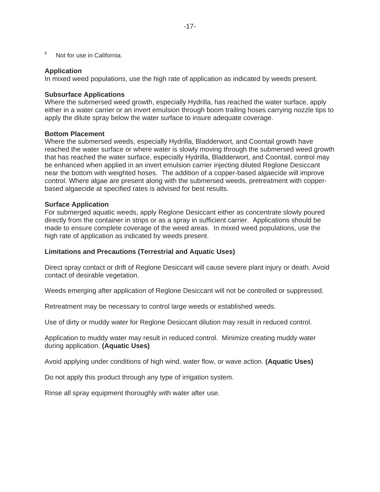<sup>6</sup> Not for use in California.

#### **Application**

In mixed weed populations, use the high rate of application as indicated by weeds present.

#### **Subsurface Applications**

Where the submersed weed growth, especially Hydrilla, has reached the water surface, apply either in a water carrier or an invert emulsion through boom trailing hoses carrying nozzle tips to apply the dilute spray below the water surface to insure adequate coverage.

#### **Bottom Placement**

Where the submersed weeds, especially Hydrilla, Bladderwort, and Coontail growth have reached the water surface or where water is slowly moving through the submersed weed growth that has reached the water surface, especially Hydrilla, Bladderwort, and Coontail, control may be enhanced when applied in an invert emulsion carrier injecting diluted Reglone Desiccant near the bottom with weighted hoses. The addition of a copper-based algaecide will improve control. Where algae are present along with the submersed weeds, pretreatment with copperbased algaecide at specified rates is advised for best results.

#### **Surface Application**

For submerged aquatic weeds, apply Reglone Desiccant either as concentrate slowly poured directly from the container in strips or as a spray in sufficient carrier. Applications should be made to ensure complete coverage of the weed areas. In mixed weed populations, use the high rate of application as indicated by weeds present.

#### **Limitations and Precautions (Terrestrial and Aquatic Uses)**

Direct spray contact or drift of Reglone Desiccant will cause severe plant injury or death. Avoid contact of desirable vegetation.

Weeds emerging after application of Reglone Desiccant will not be controlled or suppressed.

Retreatment may be necessary to control large weeds or established weeds.

Use of dirty or muddy water for Reglone Desiccant dilution may result in reduced control.

Application to muddy water may result in reduced control. Minimize creating muddy water during application. **(Aquatic Uses)**

Avoid applying under conditions of high wind, water flow, or wave action. **(Aquatic Uses)**

Do not apply this product through any type of irrigation system.

Rinse all spray equipment thoroughly with water after use.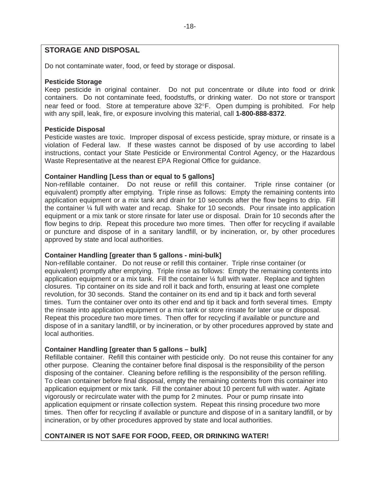# **STORAGE AND DISPOSAL**

Do not contaminate water, food, or feed by storage or disposal.

#### **Pesticide Storage**

Keep pesticide in original container. Do not put concentrate or dilute into food or drink containers. Do not contaminate feed, foodstuffs, or drinking water. Do not store or transport near feed or food. Store at temperature above 32°F. Open dumping is prohibited. For help with any spill, leak, fire, or exposure involving this material, call **1-800-888-8372**.

# **Pesticide Disposal**

Pesticide wastes are toxic. Improper disposal of excess pesticide, spray mixture, or rinsate is a violation of Federal law. If these wastes cannot be disposed of by use according to label instructions, contact your State Pesticide or Environmental Control Agency, or the Hazardous Waste Representative at the nearest EPA Regional Office for guidance.

# **Container Handling [Less than or equal to 5 gallons]**

Non-refillable container. Do not reuse or refill this container. Triple rinse container (or equivalent) promptly after emptying. Triple rinse as follows: Empty the remaining contents into application equipment or a mix tank and drain for 10 seconds after the flow begins to drip. Fill the container ¼ full with water and recap. Shake for 10 seconds. Pour rinsate into application equipment or a mix tank or store rinsate for later use or disposal. Drain for 10 seconds after the flow begins to drip. Repeat this procedure two more times. Then offer for recycling if available or puncture and dispose of in a sanitary landfill, or by incineration, or, by other procedures approved by state and local authorities.

# **Container Handling [greater than 5 gallons - mini-bulk]**

Non-refillable container. Do not reuse or refill this container. Triple rinse container (or equivalent) promptly after emptying. Triple rinse as follows: Empty the remaining contents into application equipment or a mix tank. Fill the container ¼ full with water. Replace and tighten closures. Tip container on its side and roll it back and forth, ensuring at least one complete revolution, for 30 seconds. Stand the container on its end and tip it back and forth several times. Turn the container over onto its other end and tip it back and forth several times. Empty the rinsate into application equipment or a mix tank or store rinsate for later use or disposal. Repeat this procedure two more times. Then offer for recycling if available or puncture and dispose of in a sanitary landfill, or by incineration, or by other procedures approved by state and local authorities.

# **Container Handling [greater than 5 gallons – bulk]**

Refillable container. Refill this container with pesticide only. Do not reuse this container for any other purpose. Cleaning the container before final disposal is the responsibility of the person disposing of the container. Cleaning before refilling is the responsibility of the person refilling. To clean container before final disposal, empty the remaining contents from this container into application equipment or mix tank. Fill the container about 10 percent full with water. Agitate vigorously or recirculate water with the pump for 2 minutes. Pour or pump rinsate into application equipment or rinsate collection system. Repeat this rinsing procedure two more times. Then offer for recycling if available or puncture and dispose of in a sanitary landfill, or by incineration, or by other procedures approved by state and local authorities.

# **CONTAINER IS NOT SAFE FOR FOOD, FEED, OR DRINKING WATER!**